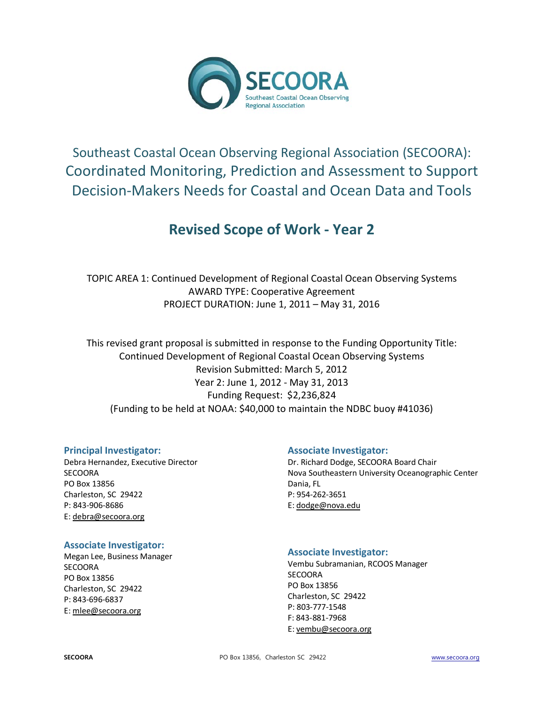

# Southeast Coastal Ocean Observing Regional Association (SECOORA): Coordinated Monitoring, Prediction and Assessment to Support Decision-Makers Needs for Coastal and Ocean Data and Tools

# **Revised Scope of Work - Year 2**

TOPIC AREA 1: Continued Development of Regional Coastal Ocean Observing Systems AWARD TYPE: Cooperative Agreement PROJECT DURATION: June 1, 2011 – May 31, 2016

This revised grant proposal is submitted in response to the Funding Opportunity Title: Continued Development of Regional Coastal Ocean Observing Systems Revision Submitted: March 5, 2012 Year 2: June 1, 2012 - May 31, 2013 Funding Request: \$2,236,824 (Funding to be held at NOAA: \$40,000 to maintain the NDBC buoy #41036)

# **Principal Investigator:**

Debra Hernandez, Executive Director **SECOORA** PO Box 13856 Charleston, SC 29422 P: 843-906-8686 E: [debra@secoora.org](mailto:susannah@secoora.org)

# **Associate Investigator:**

Dr. Richard Dodge, SECOORA Board Chair Nova Southeastern University Oceanographic Center Dania, FL P: 954-262-3651 E[: dodge@nova.edu](mailto:dodge@nova.edu)

#### **Associate Investigator:**

Megan Lee, Business Manager **SECOORA** PO Box 13856 Charleston, SC 29422 P: 843-696-6837 E[: mlee@secoora.org](mailto:mlee@secoora.org)

#### **Associate Investigator:**

Vembu Subramanian, RCOOS Manager **SECOORA** PO Box 13856 Charleston, SC 29422 P: 803-777-1548 F: 843-881-7968 E[: vembu@secoora.org](mailto:vembu@secoora.org)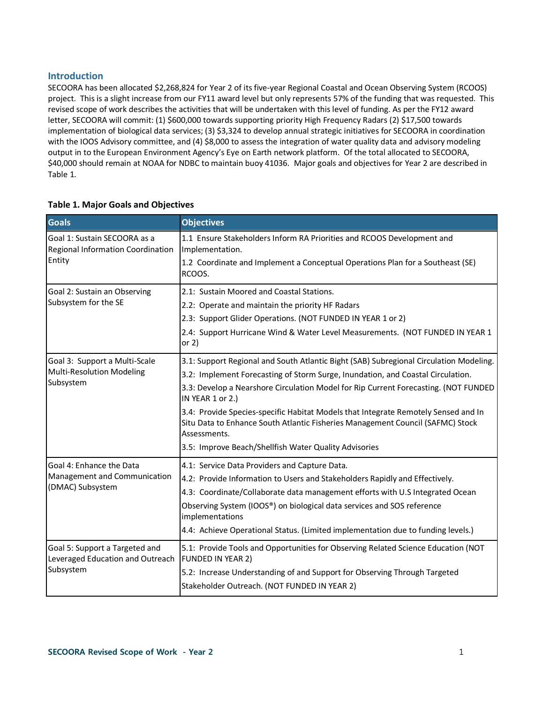### **Introduction**

SECOORA has been allocated \$2,268,824 for Year 2 of its five-year Regional Coastal and Ocean Observing System (RCOOS) project. This is a slight increase from our FY11 award level but only represents 57% of the funding that was requested. This revised scope of work describes the activities that will be undertaken with this level of funding. As per the FY12 award letter, SECOORA will commit: (1) \$600,000 towards supporting priority High Frequency Radars (2) \$17,500 towards implementation of biological data services; (3) \$3,324 to develop annual strategic initiatives for SECOORA in coordination with the IOOS Advisory committee, and (4) \$8,000 to assess the integration of water quality data and advisory modeling output in to the European Environment Agency's Eye on Earth network platform. Of the total allocated to SECOORA, \$40,000 should remain at NOAA for NDBC to maintain buoy 41036. Major goals and objectives for Year 2 are described in Table 1.

| <b>Goals</b>                                                                | <b>Objectives</b>                                                                                                                                                                    |
|-----------------------------------------------------------------------------|--------------------------------------------------------------------------------------------------------------------------------------------------------------------------------------|
| Goal 1: Sustain SECOORA as a<br>Regional Information Coordination<br>Entity | 1.1 Ensure Stakeholders Inform RA Priorities and RCOOS Development and<br>Implementation.<br>1.2 Coordinate and Implement a Conceptual Operations Plan for a Southeast (SE)          |
|                                                                             | RCOOS.                                                                                                                                                                               |
| Goal 2: Sustain an Observing                                                | 2.1: Sustain Moored and Coastal Stations.                                                                                                                                            |
| Subsystem for the SE                                                        | 2.2: Operate and maintain the priority HF Radars                                                                                                                                     |
|                                                                             | 2.3: Support Glider Operations. (NOT FUNDED IN YEAR 1 or 2)                                                                                                                          |
|                                                                             | 2.4: Support Hurricane Wind & Water Level Measurements. (NOT FUNDED IN YEAR 1<br>or $2)$                                                                                             |
| Goal 3: Support a Multi-Scale                                               | 3.1: Support Regional and South Atlantic Bight (SAB) Subregional Circulation Modeling.                                                                                               |
| <b>Multi-Resolution Modeling</b>                                            | 3.2: Implement Forecasting of Storm Surge, Inundation, and Coastal Circulation.                                                                                                      |
| Subsystem                                                                   | 3.3: Develop a Nearshore Circulation Model for Rip Current Forecasting. (NOT FUNDED<br>IN YEAR 1 or 2.)                                                                              |
|                                                                             | 3.4: Provide Species-specific Habitat Models that Integrate Remotely Sensed and In<br>Situ Data to Enhance South Atlantic Fisheries Management Council (SAFMC) Stock<br>Assessments. |
|                                                                             | 3.5: Improve Beach/Shellfish Water Quality Advisories                                                                                                                                |
| Goal 4: Enhance the Data                                                    | 4.1: Service Data Providers and Capture Data.                                                                                                                                        |
| Management and Communication                                                | 4.2: Provide Information to Users and Stakeholders Rapidly and Effectively.                                                                                                          |
| (DMAC) Subsystem                                                            | 4.3: Coordinate/Collaborate data management efforts with U.S Integrated Ocean                                                                                                        |
|                                                                             | Observing System (IOOS®) on biological data services and SOS reference<br>implementations                                                                                            |
|                                                                             | 4.4: Achieve Operational Status. (Limited implementation due to funding levels.)                                                                                                     |
| Goal 5: Support a Targeted and<br>Leveraged Education and Outreach          | 5.1: Provide Tools and Opportunities for Observing Related Science Education (NOT<br>FUNDED IN YEAR 2)                                                                               |
| Subsystem                                                                   | 5.2: Increase Understanding of and Support for Observing Through Targeted<br>Stakeholder Outreach. (NOT FUNDED IN YEAR 2)                                                            |

#### **Table 1. Major Goals and Objectives**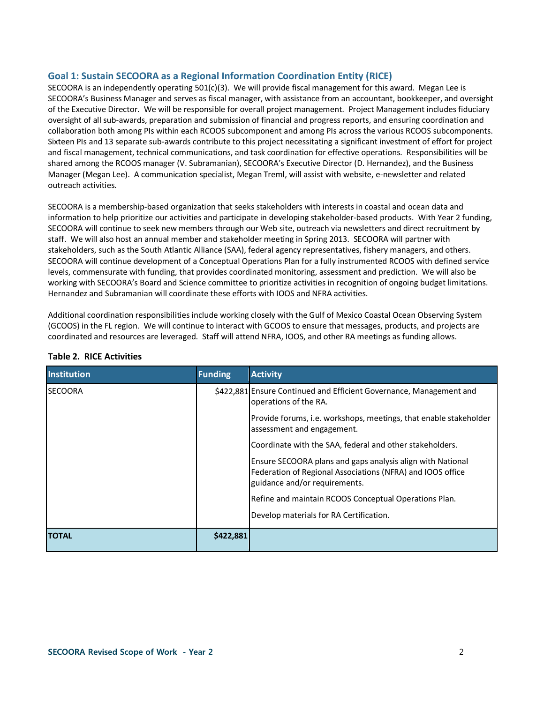### **Goal 1: Sustain SECOORA as a Regional Information Coordination Entity (RICE)**

SECOORA is an independently operating 501(c)(3). We will provide fiscal management for this award. Megan Lee is SECOORA's Business Manager and serves as fiscal manager, with assistance from an accountant, bookkeeper, and oversight of the Executive Director. We will be responsible for overall project management. Project Management includes fiduciary oversight of all sub-awards, preparation and submission of financial and progress reports, and ensuring coordination and collaboration both among PIs within each RCOOS subcomponent and among PIs across the various RCOOS subcomponents. Sixteen PIs and 13 separate sub-awards contribute to this project necessitating a significant investment of effort for project and fiscal management, technical communications, and task coordination for effective operations. Responsibilities will be shared among the RCOOS manager (V. Subramanian), SECOORA's Executive Director (D. Hernandez), and the Business Manager (Megan Lee). A communication specialist, Megan Treml, will assist with website, e-newsletter and related outreach activities.

SECOORA is a membership-based organization that seeks stakeholders with interests in coastal and ocean data and information to help prioritize our activities and participate in developing stakeholder-based products. With Year 2 funding, SECOORA will continue to seek new members through our Web site, outreach via newsletters and direct recruitment by staff. We will also host an annual member and stakeholder meeting in Spring 2013. SECOORA will partner with stakeholders, such as the South Atlantic Alliance (SAA), federal agency representatives, fishery managers, and others. SECOORA will continue development of a Conceptual Operations Plan for a fully instrumented RCOOS with defined service levels, commensurate with funding, that provides coordinated monitoring, assessment and prediction. We will also be working with SECOORA's Board and Science committee to prioritize activities in recognition of ongoing budget limitations. Hernandez and Subramanian will coordinate these efforts with IOOS and NFRA activities.

Additional coordination responsibilities include working closely with the Gulf of Mexico Coastal Ocean Observing System (GCOOS) in the FL region. We will continue to interact with GCOOS to ensure that messages, products, and projects are coordinated and resources are leveraged. Staff will attend NFRA, IOOS, and other RA meetings as funding allows.

| <b>Institution</b> | <b>Funding</b> | <b>Activity</b>                                                                                                                                           |  |  |
|--------------------|----------------|-----------------------------------------------------------------------------------------------------------------------------------------------------------|--|--|
| <b>SECOORA</b>     |                | \$422,881 Ensure Continued and Efficient Governance, Management and<br>operations of the RA.                                                              |  |  |
|                    |                | Provide forums, i.e. workshops, meetings, that enable stakeholder<br>assessment and engagement.                                                           |  |  |
|                    |                | Coordinate with the SAA, federal and other stakeholders.                                                                                                  |  |  |
|                    |                | Ensure SECOORA plans and gaps analysis align with National<br>Federation of Regional Associations (NFRA) and IOOS office<br>guidance and/or requirements. |  |  |
|                    |                | Refine and maintain RCOOS Conceptual Operations Plan.                                                                                                     |  |  |
|                    |                | Develop materials for RA Certification.                                                                                                                   |  |  |
| <b>TOTAL</b>       | \$422,881      |                                                                                                                                                           |  |  |

#### **Table 2. RICE Activities**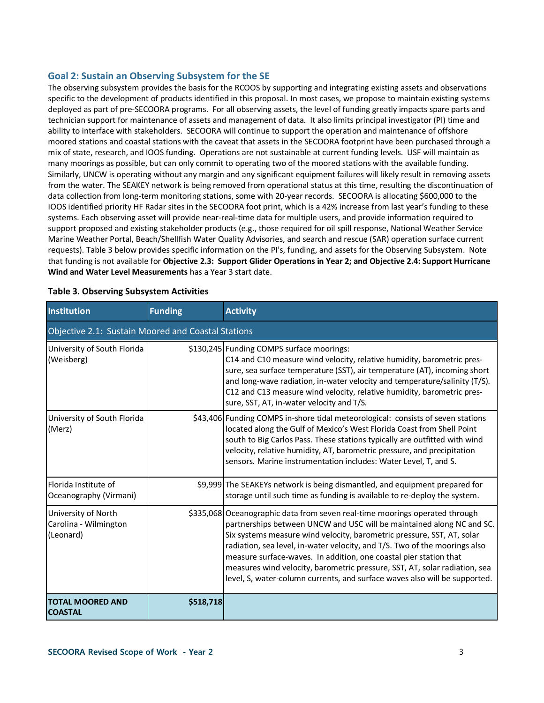#### **Goal 2: Sustain an Observing Subsystem for the SE**

The observing subsystem provides the basis for the RCOOS by supporting and integrating existing assets and observations specific to the development of products identified in this proposal. In most cases, we propose to maintain existing systems deployed as part of pre-SECOORA programs. For all observing assets, the level of funding greatly impacts spare parts and technician support for maintenance of assets and management of data. It also limits principal investigator (PI) time and ability to interface with stakeholders. SECOORA will continue to support the operation and maintenance of offshore moored stations and coastal stations with the caveat that assets in the SECOORA footprint have been purchased through a mix of state, research, and IOOS funding. Operations are not sustainable at current funding levels. USF will maintain as many moorings as possible, but can only commit to operating two of the moored stations with the available funding. Similarly, UNCW is operating without any margin and any significant equipment failures will likely result in removing assets from the water. The SEAKEY network is being removed from operational status at this time, resulting the discontinuation of data collection from long-term monitoring stations, some with 20-year records. SECOORA is allocating \$600,000 to the IOOS identified priority HF Radar sites in the SECOORA foot print, which is a 42% increase from last year's funding to these systems. Each observing asset will provide near-real-time data for multiple users, and provide information required to support proposed and existing stakeholder products (e.g., those required for oil spill response, National Weather Service Marine Weather Portal, Beach/Shellfish Water Quality Advisories, and search and rescue (SAR) operation surface current requests). Table 3 below provides specific information on the PI's, funding, and assets for the Observing Subsystem. Note that funding is not available for **Objective 2.3: Support Glider Operations in Year 2; and Objective 2.4: Support Hurricane Wind and Water Level Measurements** has a Year 3 start date.

| <b>Institution</b>                                        | <b>Funding</b> | <b>Activity</b>                                                                                                                                                                                                                                                                                                                                                                                                                                                                                                                               |  |  |  |  |  |
|-----------------------------------------------------------|----------------|-----------------------------------------------------------------------------------------------------------------------------------------------------------------------------------------------------------------------------------------------------------------------------------------------------------------------------------------------------------------------------------------------------------------------------------------------------------------------------------------------------------------------------------------------|--|--|--|--|--|
| Objective 2.1: Sustain Moored and Coastal Stations        |                |                                                                                                                                                                                                                                                                                                                                                                                                                                                                                                                                               |  |  |  |  |  |
| University of South Florida<br>(Weisberg)                 |                | \$130,245 Funding COMPS surface moorings:<br>C14 and C10 measure wind velocity, relative humidity, barometric pres-<br>sure, sea surface temperature (SST), air temperature (AT), incoming short<br>and long-wave radiation, in-water velocity and temperature/salinity (T/S).<br>C12 and C13 measure wind velocity, relative humidity, barometric pres-<br>sure, SST, AT, in-water velocity and T/S.                                                                                                                                         |  |  |  |  |  |
| University of South Florida<br>(Merz)                     |                | \$43,406 Funding COMPS in-shore tidal meteorological: consists of seven stations<br>located along the Gulf of Mexico's West Florida Coast from Shell Point<br>south to Big Carlos Pass. These stations typically are outfitted with wind<br>velocity, relative humidity, AT, barometric pressure, and precipitation<br>sensors. Marine instrumentation includes: Water Level, T, and S.                                                                                                                                                       |  |  |  |  |  |
| Florida Institute of<br>Oceanography (Virmani)            |                | \$9,999 The SEAKEYs network is being dismantled, and equipment prepared for<br>storage until such time as funding is available to re-deploy the system.                                                                                                                                                                                                                                                                                                                                                                                       |  |  |  |  |  |
| University of North<br>Carolina - Wilmington<br>(Leonard) |                | \$335,068 Oceanographic data from seven real-time moorings operated through<br>partnerships between UNCW and USC will be maintained along NC and SC.<br>Six systems measure wind velocity, barometric pressure, SST, AT, solar<br>radiation, sea level, in-water velocity, and T/S. Two of the moorings also<br>measure surface-waves. In addition, one coastal pier station that<br>measures wind velocity, barometric pressure, SST, AT, solar radiation, sea<br>level, S, water-column currents, and surface waves also will be supported. |  |  |  |  |  |
| <b>TOTAL MOORED AND</b><br><b>COASTAL</b>                 | \$518,718      |                                                                                                                                                                                                                                                                                                                                                                                                                                                                                                                                               |  |  |  |  |  |

#### **Table 3. Observing Subsystem Activities**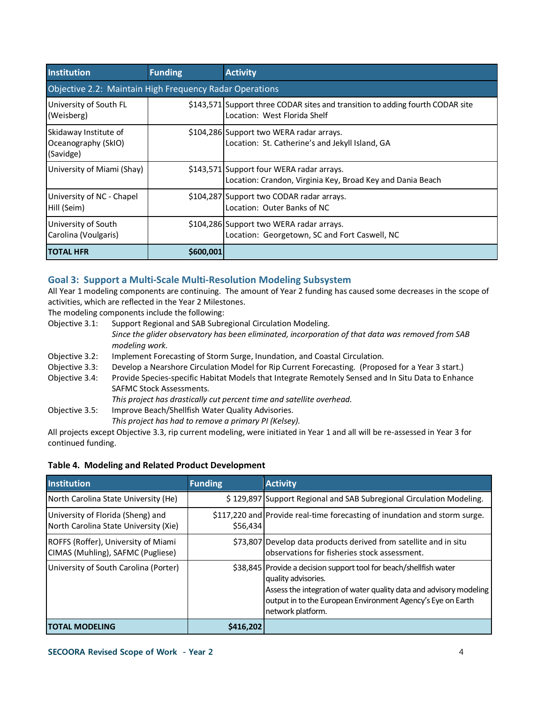| <b>Institution</b>                                                                                                                       | <b>Funding</b>                                          | <b>Activity</b>                                                                                                |  |  |  |  |  |  |
|------------------------------------------------------------------------------------------------------------------------------------------|---------------------------------------------------------|----------------------------------------------------------------------------------------------------------------|--|--|--|--|--|--|
|                                                                                                                                          | Objective 2.2: Maintain High Frequency Radar Operations |                                                                                                                |  |  |  |  |  |  |
| University of South FL<br>(Weisberg)                                                                                                     |                                                         | \$143,571 Support three CODAR sites and transition to adding fourth CODAR site<br>Location: West Florida Shelf |  |  |  |  |  |  |
| Skidaway Institute of<br>Oceanography (SkIO)<br>(Savidge)                                                                                |                                                         | \$104,286 Support two WERA radar arrays.<br>Location: St. Catherine's and Jekyll Island, GA                    |  |  |  |  |  |  |
| University of Miami (Shay)<br>\$143,571 Support four WERA radar arrays.<br>Location: Crandon, Virginia Key, Broad Key and Dania Beach    |                                                         |                                                                                                                |  |  |  |  |  |  |
| University of NC - Chapel<br>Hill (Seim)                                                                                                 |                                                         | \$104,287 Support two CODAR radar arrays.<br>Location: Outer Banks of NC                                       |  |  |  |  |  |  |
| University of South<br>\$104,286 Support two WERA radar arrays.<br>Location: Georgetown, SC and Fort Caswell, NC<br>Carolina (Voulgaris) |                                                         |                                                                                                                |  |  |  |  |  |  |
| <b>ITOTAL HFR</b>                                                                                                                        | \$600,001                                               |                                                                                                                |  |  |  |  |  |  |

### **Goal 3: Support a Multi-Scale Multi-Resolution Modeling Subsystem**

All Year 1 modeling components are continuing. The amount of Year 2 funding has caused some decreases in the scope of activities, which are reflected in the Year 2 Milestones.

The modeling components include the following:

- Objective 3.1: Support Regional and SAB Subregional Circulation Modeling. *Since the glider observatory has been eliminated, incorporation of that data was removed from SAB modeling work.*
- Objective 3.2: Implement Forecasting of Storm Surge, Inundation, and Coastal Circulation.
- Objective 3.3: Develop a Nearshore Circulation Model for Rip Current Forecasting. (Proposed for a Year 3 start.)
- Objective 3.4: Provide Species-specific Habitat Models that Integrate Remotely Sensed and In Situ Data to Enhance SAFMC Stock Assessments.

*This project has drastically cut percent time and satellite overhead.*

Objective 3.5: Improve Beach/Shellfish Water Quality Advisories.

*This project has had to remove a primary PI (Kelsey).*

All projects except Objective 3.3, rip current modeling, were initiated in Year 1 and all will be re-assessed in Year 3 for continued funding.

#### **Table 4. Modeling and Related Product Development**

| <b>Institution</b>                                                         | <b>Funding</b> | <b>Activity</b>                                                                                                                                                                                                                                     |
|----------------------------------------------------------------------------|----------------|-----------------------------------------------------------------------------------------------------------------------------------------------------------------------------------------------------------------------------------------------------|
| North Carolina State University (He)                                       |                | \$129,897 Support Regional and SAB Subregional Circulation Modeling.                                                                                                                                                                                |
| University of Florida (Sheng) and<br>North Carolina State University (Xie) | \$56,434       | \$117,220 and Provide real-time forecasting of inundation and storm surge.                                                                                                                                                                          |
| ROFFS (Roffer), University of Miami<br>CIMAS (Muhling), SAFMC (Pugliese)   |                | \$73,807 Develop data products derived from satellite and in situ<br>observations for fisheries stock assessment.                                                                                                                                   |
| University of South Carolina (Porter)                                      |                | \$38,845 Provide a decision support tool for beach/shellfish water<br>quality advisories.<br>Assess the integration of water quality data and advisory modeling<br>output in to the European Environment Agency's Eye on Earth<br>network platform. |
| <b>TOTAL MODELING</b>                                                      | \$416,202      |                                                                                                                                                                                                                                                     |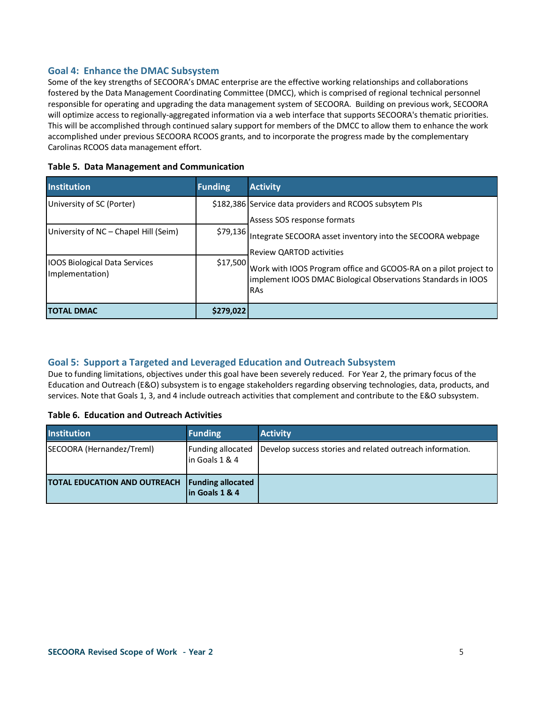### **Goal 4: Enhance the DMAC Subsystem**

Some of the key strengths of SECOORA's DMAC enterprise are the effective working relationships and collaborations fostered by the Data Management Coordinating Committee (DMCC), which is comprised of regional technical personnel responsible for operating and upgrading the data management system of SECOORA. Building on previous work, SECOORA will optimize access to regionally-aggregated information via a web interface that supports SECOORA's thematic priorities. This will be accomplished through continued salary support for members of the DMCC to allow them to enhance the work accomplished under previous SECOORA RCOOS grants, and to incorporate the progress made by the complementary Carolinas RCOOS data management effort.

| <b>Institution</b>                                                 | <b>Funding</b> | <b>Activity</b>                                                                                                                                                                                                                                    |
|--------------------------------------------------------------------|----------------|----------------------------------------------------------------------------------------------------------------------------------------------------------------------------------------------------------------------------------------------------|
| University of SC (Porter)<br>University of NC - Chapel Hill (Seim) |                | \$182,386 Service data providers and RCOOS subsytem PIs<br>Assess SOS response formats                                                                                                                                                             |
| <b>IOOS Biological Data Services</b><br>Implementation)            | \$17,500       | \$79,136 Integrate SECOORA asset inventory into the SECOORA webpage<br><b>Review QARTOD activities</b><br>Work with IOOS Program office and GCOOS-RA on a pilot project to<br>implement IOOS DMAC Biological Observations Standards in IOOS<br>RAs |
| <b>TOTAL DMAC</b>                                                  | \$279,022      |                                                                                                                                                                                                                                                    |

# **Goal 5: Support a Targeted and Leveraged Education and Outreach Subsystem**

Due to funding limitations, objectives under this goal have been severely reduced. For Year 2, the primary focus of the Education and Outreach (E&O) subsystem is to engage stakeholders regarding observing technologies, data, products, and services. Note that Goals 1, 3, and 4 include outreach activities that complement and contribute to the E&O subsystem.

#### **Table 6. Education and Outreach Activities**

| <b>Institution</b>                  | <b>Funding</b>                              | <b>Activity</b>                                           |
|-------------------------------------|---------------------------------------------|-----------------------------------------------------------|
| SECOORA (Hernandez/Treml)           | Funding allocated<br>lin Goals 1 & 4        | Develop success stories and related outreach information. |
| <b>TOTAL EDUCATION AND OUTREACH</b> | <b>Funding allocated</b><br>lin Goals 1 & 4 |                                                           |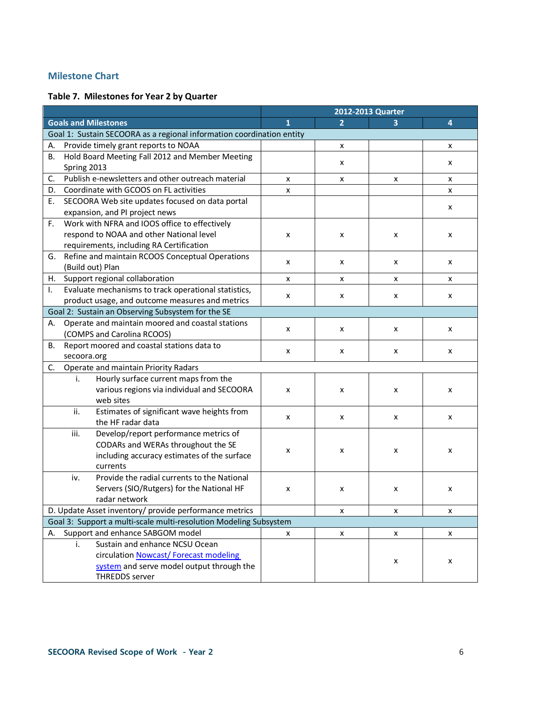# **Milestone Chart**

# **Table 7. Milestones for Year 2 by Quarter**

|                                                                       |   |   | 2012-2013 Quarter |   |
|-----------------------------------------------------------------------|---|---|-------------------|---|
| <b>Goals and Milestones</b>                                           | 1 | 2 | 3                 | 4 |
| Goal 1: Sustain SECOORA as a regional information coordination entity |   |   |                   |   |
| Provide timely grant reports to NOAA<br>А.                            |   | X |                   | x |
| Hold Board Meeting Fall 2012 and Member Meeting<br>В.                 |   |   |                   |   |
| Spring 2013                                                           |   | x |                   | x |
| Publish e-newsletters and other outreach material<br>C.               | x | X | x                 | x |
| Coordinate with GCOOS on FL activities<br>D.                          | x |   |                   | x |
| SECOORA Web site updates focused on data portal<br>Ε.                 |   |   |                   |   |
| expansion, and PI project news                                        |   |   |                   | x |
| Work with NFRA and IOOS office to effectively<br>F.                   |   |   |                   |   |
| respond to NOAA and other National level                              | x | X | x                 | x |
| requirements, including RA Certification                              |   |   |                   |   |
| Refine and maintain RCOOS Conceptual Operations<br>G.                 | x | x | x                 | x |
| (Build out) Plan                                                      |   |   |                   |   |
| Support regional collaboration<br>H. .                                | x | x | X                 | x |
| Evaluate mechanisms to track operational statistics,<br>Τ.            | x | x | x                 | x |
| product usage, and outcome measures and metrics                       |   |   |                   |   |
| Goal 2: Sustain an Observing Subsystem for the SE                     |   |   |                   |   |
| Operate and maintain moored and coastal stations<br>А.                | x | x | x                 | x |
| (COMPS and Carolina RCOOS)                                            |   |   |                   |   |
| Report moored and coastal stations data to<br>В.                      | x | х | х                 | x |
| secoora.org                                                           |   |   |                   |   |
| Operate and maintain Priority Radars<br>C.                            |   |   |                   |   |
| Hourly surface current maps from the<br>i.                            |   |   |                   |   |
| various regions via individual and SECOORA                            | x | x | x                 | x |
| web sites                                                             |   |   |                   |   |
| Estimates of significant wave heights from<br>ii.                     | x | X | x                 | x |
| the HF radar data                                                     |   |   |                   |   |
| Develop/report performance metrics of<br>iii.                         |   |   |                   |   |
| CODARs and WERAs throughout the SE                                    | x | x | x                 | x |
| including accuracy estimates of the surface                           |   |   |                   |   |
| currents                                                              |   |   |                   |   |
| Provide the radial currents to the National<br>iv.                    |   |   |                   |   |
| Servers (SIO/Rutgers) for the National HF                             | x | x | x                 | x |
| radar network                                                         |   |   |                   |   |
| D. Update Asset inventory/ provide performance metrics                |   | X | X                 | x |
| Goal 3: Support a multi-scale multi-resolution Modeling Subsystem     |   |   |                   |   |
| Support and enhance SABGOM model<br>А.                                | x | X | X                 | X |
| Sustain and enhance NCSU Ocean<br>i.                                  |   |   |                   |   |
| circulation Nowcast/Forecast modeling                                 |   |   | x                 | x |
| system and serve model output through the                             |   |   |                   |   |
| <b>THREDDS</b> server                                                 |   |   |                   |   |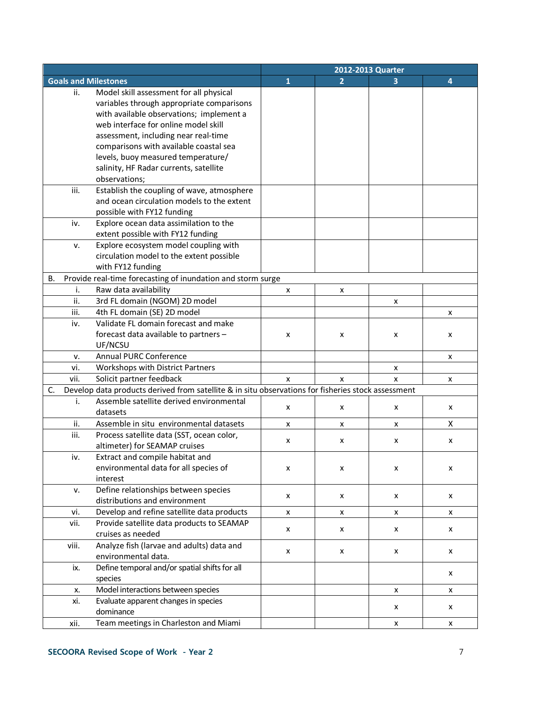|    |       |                                                                                                    |              |   | 2012-2013 Quarter |                |
|----|-------|----------------------------------------------------------------------------------------------------|--------------|---|-------------------|----------------|
|    |       | <b>Goals and Milestones</b>                                                                        | $\mathbf{1}$ | 2 |                   | $\overline{4}$ |
|    | ii.   | Model skill assessment for all physical                                                            |              |   |                   |                |
|    |       | variables through appropriate comparisons                                                          |              |   |                   |                |
|    |       | with available observations; implement a                                                           |              |   |                   |                |
|    |       | web interface for online model skill                                                               |              |   |                   |                |
|    |       | assessment, including near real-time                                                               |              |   |                   |                |
|    |       | comparisons with available coastal sea                                                             |              |   |                   |                |
|    |       | levels, buoy measured temperature/                                                                 |              |   |                   |                |
|    |       | salinity, HF Radar currents, satellite                                                             |              |   |                   |                |
|    |       | observations;                                                                                      |              |   |                   |                |
|    | iii.  | Establish the coupling of wave, atmosphere                                                         |              |   |                   |                |
|    |       | and ocean circulation models to the extent                                                         |              |   |                   |                |
|    |       | possible with FY12 funding                                                                         |              |   |                   |                |
|    | iv.   | Explore ocean data assimilation to the                                                             |              |   |                   |                |
|    |       | extent possible with FY12 funding                                                                  |              |   |                   |                |
|    | v.    | Explore ecosystem model coupling with                                                              |              |   |                   |                |
|    |       | circulation model to the extent possible                                                           |              |   |                   |                |
|    |       | with FY12 funding                                                                                  |              |   |                   |                |
| В. |       | Provide real-time forecasting of inundation and storm surge                                        |              |   |                   |                |
|    | i.    | Raw data availability                                                                              | x            | x |                   |                |
|    | ii.   | 3rd FL domain (NGOM) 2D model                                                                      |              |   | х                 |                |
|    | iii.  | 4th FL domain (SE) 2D model                                                                        |              |   |                   | x              |
|    | iv.   | Validate FL domain forecast and make                                                               |              |   |                   |                |
|    |       | forecast data available to partners -                                                              | x            | x | x                 | x              |
|    |       | UF/NCSU                                                                                            |              |   |                   |                |
|    | v.    | <b>Annual PURC Conference</b>                                                                      |              |   |                   | x              |
|    | vi.   | Workshops with District Partners                                                                   |              |   | X                 |                |
|    | vii.  | Solicit partner feedback                                                                           | X            | x | X                 | x              |
| C. |       | Develop data products derived from satellite & in situ observations for fisheries stock assessment |              |   |                   |                |
|    | i.    | Assemble satellite derived environmental                                                           |              |   |                   |                |
|    |       | datasets                                                                                           | x            | x | x                 | x              |
|    | ii.   | Assemble in situ environmental datasets                                                            | x            | x | x                 | X              |
|    | iii.  | Process satellite data (SST, ocean color,                                                          |              |   |                   |                |
|    |       | altimeter) for SEAMAP cruises                                                                      | x            | x | x                 | х              |
|    | iv.   | Extract and compile habitat and                                                                    |              |   |                   |                |
|    |       | environmental data for all species of                                                              | X            | X | x                 | x              |
|    |       | interest                                                                                           |              |   |                   |                |
|    | v.    | Define relationships between species                                                               |              |   |                   |                |
|    |       | distributions and environment                                                                      | X            | x | x                 | X              |
|    | vi.   | Develop and refine satellite data products                                                         | x            | x | x                 | X              |
|    | vii.  | Provide satellite data products to SEAMAP                                                          |              |   |                   |                |
|    |       | cruises as needed                                                                                  | x            | x | x                 | X              |
|    | viii. | Analyze fish (larvae and adults) data and                                                          |              |   |                   |                |
|    |       | environmental data.                                                                                | x            | X | x                 | x              |
|    | ix.   | Define temporal and/or spatial shifts for all                                                      |              |   |                   |                |
|    |       | species                                                                                            |              |   |                   | x              |
|    | х.    | Model interactions between species                                                                 |              |   | X                 | x              |
|    | xi.   | Evaluate apparent changes in species                                                               |              |   |                   |                |
|    |       | dominance                                                                                          |              |   | x                 | x              |
|    | xii.  | Team meetings in Charleston and Miami                                                              |              |   | x                 | X              |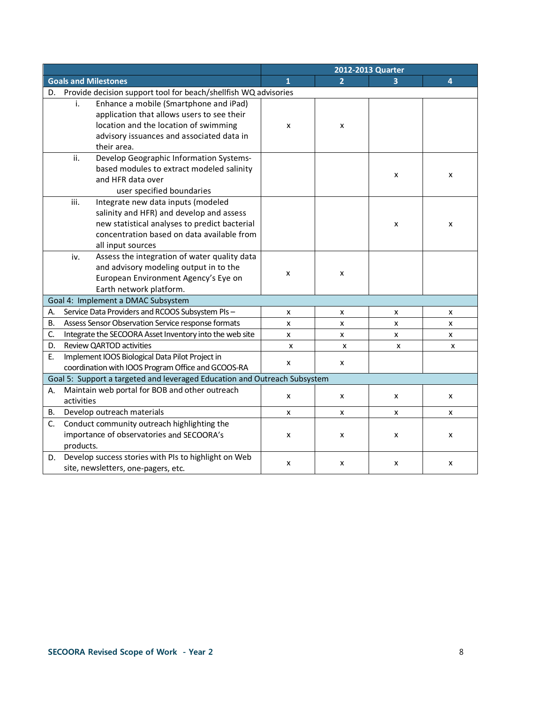|                                                                                                                                                                                                            | 2012-2013 Quarter |   |   |   |
|------------------------------------------------------------------------------------------------------------------------------------------------------------------------------------------------------------|-------------------|---|---|---|
| <b>Goals and Milestones</b>                                                                                                                                                                                | 1                 | 2 |   | 4 |
| Provide decision support tool for beach/shellfish WQ advisories<br>D.                                                                                                                                      |                   |   |   |   |
| Enhance a mobile (Smartphone and iPad)<br>i.<br>application that allows users to see their<br>location and the location of swimming<br>advisory issuances and associated data in<br>their area.            | x                 | x |   |   |
| ii.<br>Develop Geographic Information Systems-<br>based modules to extract modeled salinity<br>and HFR data over<br>user specified boundaries                                                              |                   |   | x | x |
| iii.<br>Integrate new data inputs (modeled<br>salinity and HFR) and develop and assess<br>new statistical analyses to predict bacterial<br>concentration based on data available from<br>all input sources |                   |   | x | x |
| Assess the integration of water quality data<br>iv.<br>and advisory modeling output in to the<br>European Environment Agency's Eye on<br>Earth network platform.                                           | x                 | x |   |   |
| Goal 4: Implement a DMAC Subsystem                                                                                                                                                                         |                   |   |   |   |
| Service Data Providers and RCOOS Subsystem PIs-<br>А.                                                                                                                                                      | x                 | x | x | х |
| Assess Sensor Observation Service response formats<br>В.                                                                                                                                                   | x                 | x | x | x |
| Integrate the SECOORA Asset Inventory into the web site<br>C.                                                                                                                                              | x                 | x | x | X |
| Review QARTOD activities<br>D.                                                                                                                                                                             | X                 | x | X | X |
| Implement IOOS Biological Data Pilot Project in<br>Ε.<br>coordination with IOOS Program Office and GCOOS-RA                                                                                                | x                 | x |   |   |
| Goal 5: Support a targeted and leveraged Education and Outreach Subsystem                                                                                                                                  |                   |   |   |   |
| Maintain web portal for BOB and other outreach<br>А.<br>activities                                                                                                                                         | x                 | x | x | x |
| Develop outreach materials<br>В.                                                                                                                                                                           | x                 | x | x | x |
| Conduct community outreach highlighting the<br>C.<br>importance of observatories and SECOORA's<br>products.                                                                                                | x                 | x | x | х |
| Develop success stories with PIs to highlight on Web<br>D.<br>site, newsletters, one-pagers, etc.                                                                                                          | x                 | x | x | x |